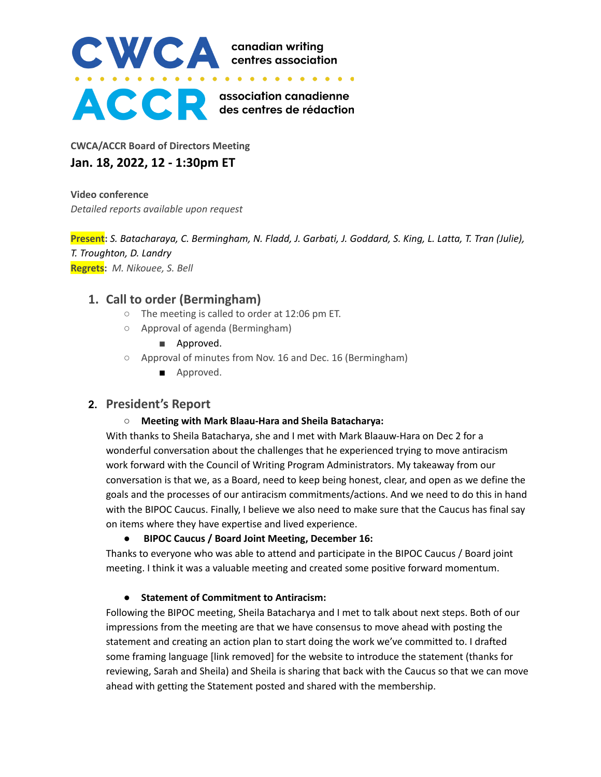

**CWCA/ACCR Board of Directors Meeting Jan. 18, 2022, 12 - 1:30pm ET**

**Video conference** *Detailed reports available upon request*

Present: S. Batacharaya, C. Bermingham, N. Fladd, J. Garbati, J. Goddard, S. King, L. Latta, T. Tran (Julie), *T. Troughton, D. Landry* **Regrets:** *M. Nikouee, S. Bell*

# **1. Call to order (Bermingham)**

- The meeting is called to order at 12:06 pm ET.
- Approval of agenda (Bermingham)
	- Approved.
- Approval of minutes from Nov. 16 and Dec. 16 (Bermingham)
	- Approved.

# **2. President's Report**

### **○ Meeting with Mark Blaau-Hara and Sheila Batacharya:**

With thanks to Sheila Batacharya, she and I met with Mark Blaauw-Hara on Dec 2 for a wonderful conversation about the challenges that he experienced trying to move antiracism work forward with the Council of Writing Program Administrators. My takeaway from our conversation is that we, as a Board, need to keep being honest, clear, and open as we define the goals and the processes of our antiracism commitments/actions. And we need to do this in hand with the BIPOC Caucus. Finally, I believe we also need to make sure that the Caucus has final say on items where they have expertise and lived experience.

### **● BIPOC Caucus / Board Joint Meeting, December 16:**

Thanks to everyone who was able to attend and participate in the BIPOC Caucus / Board joint meeting. I think it was a valuable meeting and created some positive forward momentum.

### **● Statement of Commitment to Antiracism:**

Following the BIPOC meeting, Sheila Batacharya and I met to talk about next steps. Both of our impressions from the meeting are that we have consensus to move ahead with posting the statement and creating an action plan to start doing the work we've committed to. I drafted some framing language [link removed] for the website to introduce the statement (thanks for reviewing, Sarah and Sheila) and Sheila is sharing that back with the Caucus so that we can move ahead with getting the Statement posted and shared with the membership.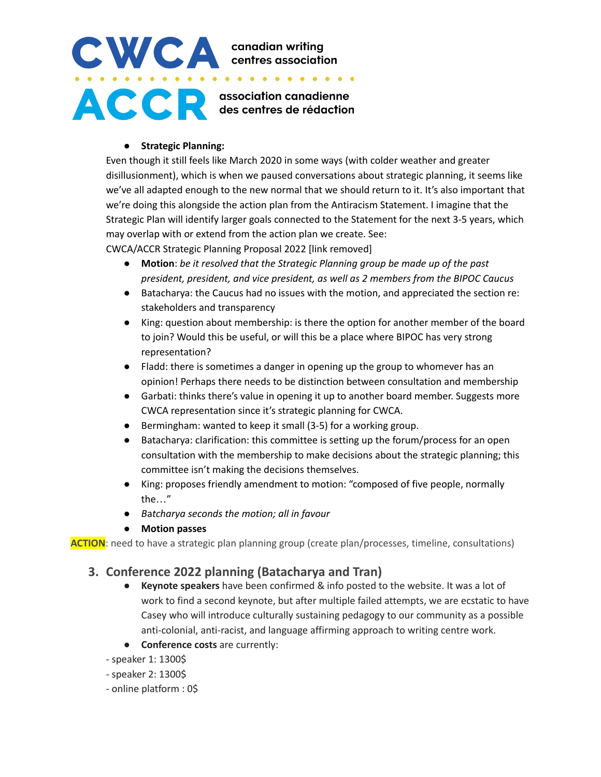# CWCA canadian writing<br>centres association **ACCE** escentres de rédaction

#### **● Strategic Planning:**

Even though it still feels like March 2020 in some ways (with colder weather and greater disillusionment), which is when we paused conversations about strategic planning, it seems like we've all adapted enough to the new normal that we should return to it. It's also important that we're doing this alongside the action plan from the Antiracism Statement. I imagine that the Strategic Plan will identify larger goals connected to the Statement for the next 3-5 years, which may overlap with or extend from the action plan we create. See:

CWCA/ACCR Strategic Planning Proposal 2022 [link removed]

- **Motion**: *be it resolved that the Strategic Planning group be made up of the past president, president, and vice president, as well as 2 members from the BIPOC Caucus*
- Batacharya: the Caucus had no issues with the motion, and appreciated the section re: stakeholders and transparency
- King: question about membership: is there the option for another member of the board to join? Would this be useful, or will this be a place where BIPOC has very strong representation?
- Fladd: there is sometimes a danger in opening up the group to whomever has an opinion! Perhaps there needs to be distinction between consultation and membership
- Garbati: thinks there's value in opening it up to another board member. Suggests more CWCA representation since it's strategic planning for CWCA.
- Bermingham: wanted to keep it small (3-5) for a working group.
- Batacharya: clarification: this committee is setting up the forum/process for an open consultation with the membership to make decisions about the strategic planning; this committee isn't making the decisions themselves.
- King: proposes friendly amendment to motion: "composed of five people, normally the…"
- *B*a*tcharya seconds the motion; all in favour*
- *●* **Motion passes**

**ACTION**: need to have a strategic plan planning group (create plan/processes, timeline, consultations)

# **3. Conference 2022 planning (Batacharya and Tran)**

- **Keynote speakers** have been confirmed & info posted to the website. It was a lot of work to find a second keynote, but after multiple failed attempts, we are ecstatic to have Casey who will introduce culturally sustaining pedagogy to our community as a possible anti-colonial, anti-racist, and language affirming approach to writing centre work.
- **Conference costs** are currently:
- speaker 1: 1300\$
- speaker 2: 1300\$
- online platform : 0\$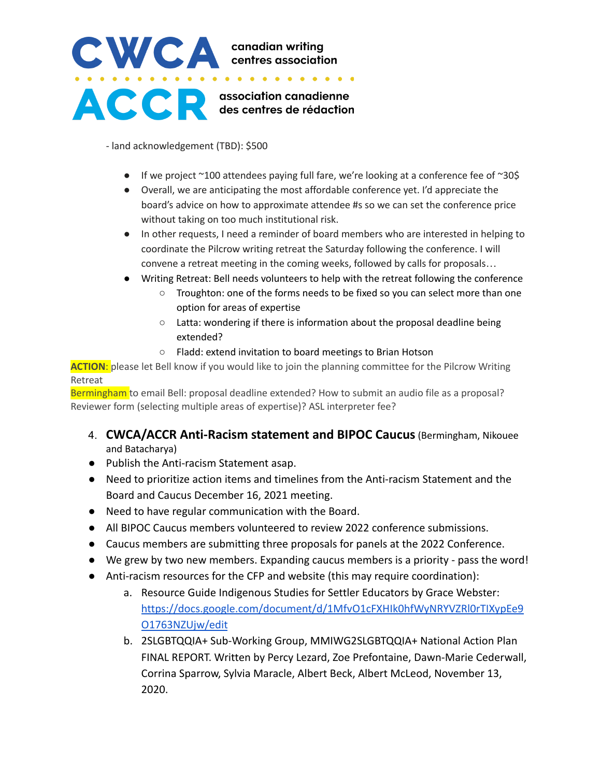# CWCA canadian writing **ACCE** association canadienne

- land acknowledgement (TBD): \$500

- $\bullet$  If we project ~100 attendees paying full fare, we're looking at a conference fee of ~30\$
- Overall, we are anticipating the most affordable conference yet. I'd appreciate the board's advice on how to approximate attendee #s so we can set the conference price without taking on too much institutional risk.
- In other requests, I need a reminder of board members who are interested in helping to coordinate the Pilcrow writing retreat the Saturday following the conference. I will convene a retreat meeting in the coming weeks, followed by calls for proposals…
- Writing Retreat: Bell needs volunteers to help with the retreat following the conference
	- Troughton: one of the forms needs to be fixed so you can select more than one option for areas of expertise
	- Latta: wondering if there is information about the proposal deadline being extended?
	- Fladd: extend invitation to board meetings to Brian Hotson

**ACTION**: please let Bell know if you would like to join the planning committee for the Pilcrow Writing Retreat

Bermingham to email Bell: proposal deadline extended? How to submit an audio file as a proposal? Reviewer form (selecting multiple areas of expertise)? ASL interpreter fee?

- 4. **CWCA/ACCR Anti-Racism statement and BIPOC Caucus**(Bermingham, Nikouee and Batacharya)
- Publish the Anti-racism Statement asap.
- Need to prioritize action items and timelines from the Anti-racism Statement and the Board and Caucus December 16, 2021 meeting.
- Need to have regular communication with the Board.
- All BIPOC Caucus members volunteered to review 2022 conference submissions.
- Caucus members are submitting three proposals for panels at the 2022 Conference.
- We grew by two new members. Expanding caucus members is a priority pass the word!
- Anti-racism resources for the CFP and website (this may require coordination):
	- a. Resource Guide Indigenous Studies for Settler Educators by Grace Webster[:](https://docs.google.com/document/d/1MfvO1cFXHIk0hfWyNRYVZRl0rTIXypEe9O1763NZUjw/edit) [https://docs.google.com/document/d/1MfvO1cFXHIk0hfWyNRYVZRl0rTIXypEe9](https://docs.google.com/document/d/1MfvO1cFXHIk0hfWyNRYVZRl0rTIXypEe9O1763NZUjw/edit) [O1763NZUjw/edit](https://docs.google.com/document/d/1MfvO1cFXHIk0hfWyNRYVZRl0rTIXypEe9O1763NZUjw/edit)
	- b. 2SLGBTQQIA+ Sub-Working Group, MMIWG2SLGBTQQIA+ National Action Plan FINAL REPORT. Written by Percy Lezard, Zoe Prefontaine, Dawn-Marie Cederwall, Corrina Sparrow, Sylvia Maracle, Albert Beck, Albert McLeod, November 13, 2020[.](https://mmiwg2splus-nationalactionplan.ca/wp-content/uploads/2021/06/2SLGBTQQIA-Report-Final.pdf)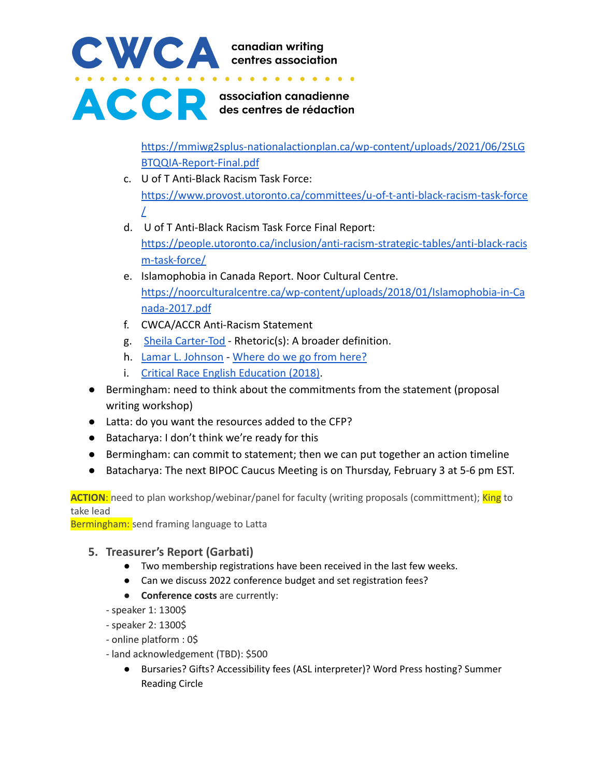

[https://mmiwg2splus-nationalactionplan.ca/wp-content/uploads/2021/06/2SLG](https://mmiwg2splus-nationalactionplan.ca/wp-content/uploads/2021/06/2SLGBTQQIA-Report-Final.pdf) [BTQQIA-Report-Final.pdf](https://mmiwg2splus-nationalactionplan.ca/wp-content/uploads/2021/06/2SLGBTQQIA-Report-Final.pdf)

- c. U of T Anti-Black Racism Task Force: [https://www.provost.utoronto.ca/committees/u-of-t-anti-black-racism-task-force](https://www.provost.utoronto.ca/committees/u-of-t-anti-black-racism-task-force/) [/](https://www.provost.utoronto.ca/committees/u-of-t-anti-black-racism-task-force/)
- d. [U](https://people.utoronto.ca/inclusion/anti-racism-strategic-tables/anti-black-racism-task-force/) of T Anti-Black Racism Task Force Final Report: [https://people.utoronto.ca/inclusion/anti-racism-strategic-tables/anti-black-racis](https://people.utoronto.ca/inclusion/anti-racism-strategic-tables/anti-black-racism-task-force/) [m-task-force/](https://people.utoronto.ca/inclusion/anti-racism-strategic-tables/anti-black-racism-task-force/)
- e. Islamophobia in Canada Report. Noor Cultural Centre[.](https://noorculturalcentre.ca/wp-content/uploads/2018/01/Islamophobia-in-Canada-2017.pdf) [https://noorculturalcentre.ca/wp-content/uploads/2018/01/Islamophobia-in-Ca](https://noorculturalcentre.ca/wp-content/uploads/2018/01/Islamophobia-in-Canada-2017.pdf) [nada-2017.pdf](https://noorculturalcentre.ca/wp-content/uploads/2018/01/Islamophobia-in-Canada-2017.pdf)
- f. CWCA/ACCR Anti-Racism Statement
- g. [Sheila Carter-Tod](https://compstudiesjournal.com/2021/03/29/rhetorics-a-broader-definition/) Rhetoric(s): A broader definition.
- h. [Lamar L. Johnson](https://ncte.org/rsvp-member-gathering/) [Where do we go from here?](https://www.jstor.org/stable/26802726?seq=1#metadata_info_tab_contents)
- i. [Critical Race English Education \(2018\).](https://www.jstor.org/stable/26802726?seq=1#metadata_info_tab_contents)
- Bermingham: need to think about the commitments from the statement (proposal writing workshop)
- Latta: do you want the resources added to the CFP?
- Batacharya: I don't think we're ready for this
- Bermingham: can commit to statement; then we can put together an action timeline
- Batacharya: The next BIPOC Caucus Meeting is on Thursday, February 3 at 5-6 pm EST.

**ACTION:** need to plan workshop/webinar/panel for faculty (writing proposals (committment); King to take lead

Bermingham: send framing language to Latta

# **5. Treasurer's Report (Garbati)**

- Two membership registrations have been received in the last few weeks.
- Can we discuss 2022 conference budget and set registration fees?
- **Conference costs** are currently:
- speaker 1: 1300\$
- speaker 2: 1300\$
- online platform : 0\$
- land acknowledgement (TBD): \$500
	- Bursaries? Gifts? Accessibility fees (ASL interpreter)? Word Press hosting? Summer Reading Circle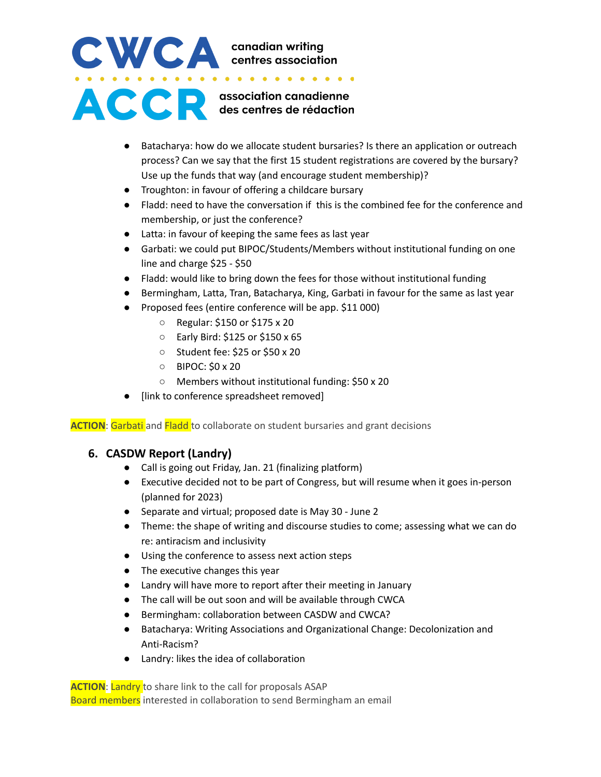# CWCA canadian writing<br>centres association ACCE es centres de rédaction

- Batacharya: how do we allocate student bursaries? Is there an application or outreach process? Can we say that the first 15 student registrations are covered by the bursary? Use up the funds that way (and encourage student membership)?
- Troughton: in favour of offering a childcare bursary
- Fladd: need to have the conversation if this is the combined fee for the conference and membership, or just the conference?
- Latta: in favour of keeping the same fees as last year
- Garbati: we could put BIPOC/Students/Members without institutional funding on one line and charge \$25 - \$50
- Fladd: would like to bring down the fees for those without institutional funding
- Bermingham, Latta, Tran, Batacharya, King, Garbati in favour for the same as last year
- Proposed fees (entire conference will be app. \$11 000)
	- Regular: \$150 or \$175 x 20
	- Early Bird: \$125 or \$150 x 65
	- Student fee: \$25 or \$50 x 20
	- BIPOC: \$0 x 20
	- Members without institutional funding: \$50 x 20
- [link to conference spreadsheet removed]

**ACTION:** Garbati and **Fladd** to collaborate on student bursaries and grant decisions

# **6. CASDW Report (Landry)**

- *●* Call is going out Friday, Jan. 21 (finalizing platform)
- Executive decided not to be part of Congress, but will resume when it goes in-person (planned for 2023)
- Separate and virtual; proposed date is May 30 June 2
- Theme: the shape of writing and discourse studies to come; assessing what we can do re: antiracism and inclusivity
- Using the conference to assess next action steps
- The executive changes this year
- Landry will have more to report after their meeting in January
- The call will be out soon and will be available through CWCA
- Bermingham: collaboration between CASDW and CWCA?
- Batacharya: Writing Associations and Organizational Change: Decolonization and Anti-Racism?
- Landry: likes the idea of collaboration

**ACTION**: Landry to share link to the call for proposals ASAP Board members interested in collaboration to send Bermingham an email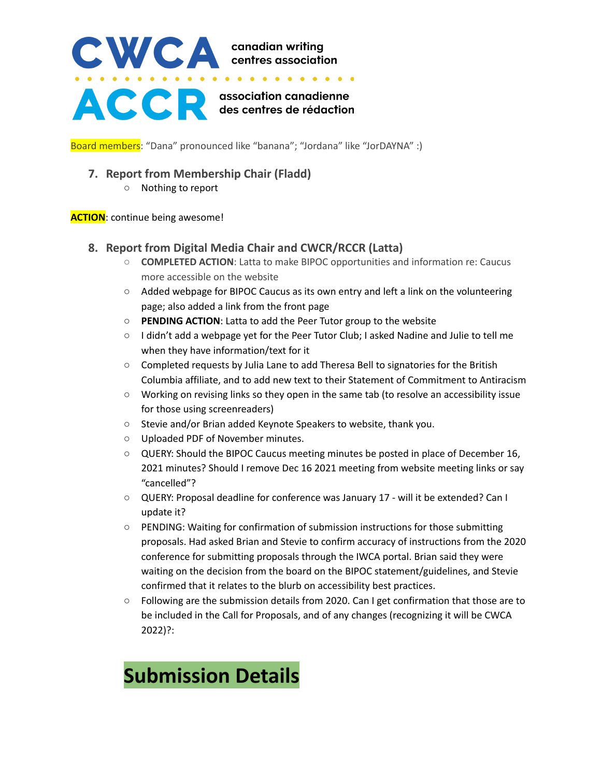

Board members: "Dana" pronounced like "banana"; "Jordana" like "JorDAYNA" :)

# **7. Report from Membership Chair (Fladd)**

○ Nothing to report

**ACTION**: continue being awesome!

# **8. Report from Digital Media Chair and CWCR/RCCR (Latta)**

- **COMPLETED ACTION**: Latta to make BIPOC opportunities and information re: Caucus more accessible on the website
- Added webpage for BIPOC Caucus as its own entry and left a link on the volunteering page; also added a link from the front page
- **PENDING ACTION**: Latta to add the Peer Tutor group to the website
- I didn't add a webpage yet for the Peer Tutor Club; I asked Nadine and Julie to tell me when they have information/text for it
- Completed requests by Julia Lane to add Theresa Bell to signatories for the British Columbia affiliate, and to add new text to their Statement of Commitment to Antiracism
- Working on revising links so they open in the same tab (to resolve an accessibility issue for those using screenreaders)
- Stevie and/or Brian added Keynote Speakers to website, thank you.
- Uploaded PDF of November minutes.
- QUERY: Should the BIPOC Caucus meeting minutes be posted in place of December 16, 2021 minutes? Should I remove Dec 16 2021 meeting from website meeting links or say "cancelled"?
- QUERY: Proposal deadline for conference was January 17 will it be extended? Can I update it?
- PENDING: Waiting for confirmation of submission instructions for those submitting proposals. Had asked Brian and Stevie to confirm accuracy of instructions from the 2020 conference for submitting proposals through the IWCA portal. Brian said they were waiting on the decision from the board on the BIPOC statement/guidelines, and Stevie confirmed that it relates to the blurb on accessibility best practices.
- Following are the submission details from 2020. Can I get confirmation that those are to be included in the Call for Proposals, and of any changes (recognizing it will be CWCA 2022)?:

# **Submission Details**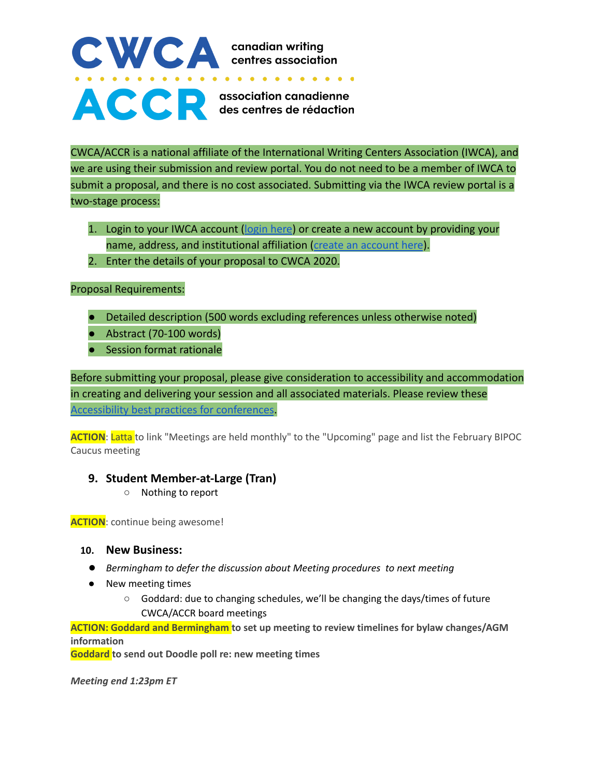# CWCA canadian writing<br>
..................... ACCR association canadienne

CWCA/ACCR is a national affiliate of the International Writing Centers Association (IWCA), and we are using their submission and review portal. You do not need to be a member of IWCA to submit a proposal, and there is no cost associated. Submitting via the IWCA review portal is a two-stage process:

- 1. Login to your IWCA account [\(login here\)](https://www.iwcamembers.org/index.php) or create a new account by providing your name, address, and institutional affiliation (create [an account here](https://www.iwcamembers.org/join.php)).
- 2. Enter the details of your proposal to CWCA 2020.

# Proposal Requirements:

- Detailed description (500 words excluding references unless otherwise noted)
- Abstract (70-100 words)
- Session format rationale

Before submitting your proposal, please give consideration to accessibility and accommodation in creating and delivering your session and all associated materials. Please review these [Accessibility best practices for conferences](https://cwcaaccr.com/wp-content/uploads/2019/11/accessibility-best-practices-for-conferences.pdf).

**ACTION:** Latta to link "Meetings are held monthly" to the "Upcoming" page and list the February BIPOC Caucus meeting

# **9. Student Member-at-Large (Tran)**

○ Nothing to report

**ACTION**: continue being awesome!

### **10. New Business:**

- *● Bermingham to defer the discussion about Meeting procedures to next meeting*
- New meeting times
	- Goddard: due to changing schedules, we'll be changing the days/times of future CWCA/ACCR board meetings

**ACTION: Goddard and Bermingham to set up meeting to review timelines for bylaw changes/AGM information**

**Goddard to send out Doodle poll re: new meeting times**

*Meeting end 1:23pm ET*